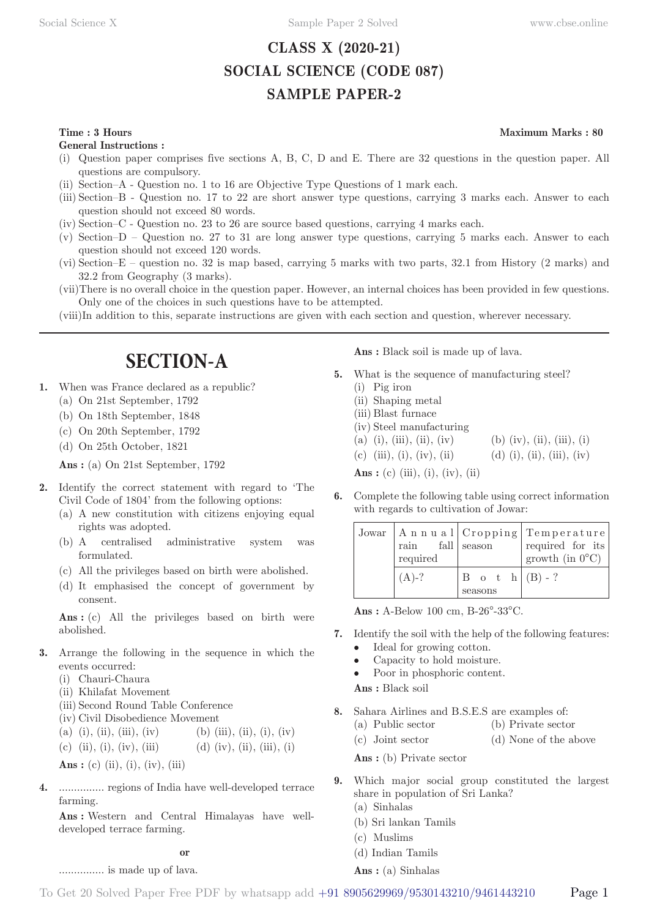# **CLASS X (2020-21) SOCIAL SCIENCE (CODE 087) SAMPLE PAPER-2**

### **Time : 3 Hours** Maximum Marks : 80

**General Instructions :**

- (i) Question paper comprises five sections A, B, C, D and E. There are 32 questions in the question paper. All questions are compulsory.
- (ii) Section–A Question no. 1 to 16 are Objective Type Questions of 1 mark each.
- (iii) Section–B Question no. 17 to 22 are short answer type questions, carrying 3 marks each. Answer to each question should not exceed 80 words.
- (iv) Section–C Question no. 23 to 26 are source based questions, carrying 4 marks each.
- (v) Section–D Question no. 27 to 31 are long answer type questions, carrying 5 marks each. Answer to each question should not exceed 120 words.
- (vi) Section–E question no. 32 is map based, carrying 5 marks with two parts, 32.1 from History (2 marks) and 32.2 from Geography (3 marks).
- (vii) There is no overall choice in the question paper. However, an internal choices has been provided in few questions. Only one of the choices in such questions have to be attempted.
- (viii) In addition to this, separate instructions are given with each section and question, wherever necessary.

# **SECTION-A**

- **1.** When was France declared as a republic?
	- (a) On 21st September, 1792
	- (b) On 18th September, 1848
	- (c) On 20th September, 1792
	- (d) On 25th October, 1821

**Ans :** (a) On 21st September, 1792

- **2.** Identify the correct statement with regard to 'The Civil Code of 1804' from the following options:
	- (a) A new constitution with citizens enjoying equal rights was adopted.
	- (b) A centralised administrative system was formulated.
	- (c) All the privileges based on birth were abolished.
	- (d) It emphasised the concept of government by consent.

Ans : (c) All the privileges based on birth were abolished.

- **3.** Arrange the following in the sequence in which the events occurred:
	- (i) Chauri-Chaura
	- (ii) Khilafat Movement
	- (iii) Second Round Table Conference
	- (iv) Civil Disobedience Movement
	- (a) (i), (ii), (iii), (iv) (b) (iii), (i), (iv)

(c) (ii), (i), (iv), (iii) (d) (iv), (ii), (iii), (i)

**Ans** : (c) (ii), (i), (iv), (iii)

............... is made up of lava.

**4.** ............... regions of India have well-developed terrace farming.

**Ans :** Western and Central Himalayas have welldeveloped terrace farming.

**Ans :** Black soil is made up of lava.

- **5.** What is the sequence of manufacturing steel? (i) Pig iron
	- (ii) Shaping metal (iii) Blast furnace (iv) Steel manufacturing (a) (i), (iii), (ii), (iv) (b) (iv), (ii), (iii), (i) (c) (iii), (i), (iv), (ii) (d) (i), (ii), (iii), (iv) **Ans** : (c) (iii), (i), (iv), (ii)
- **6.** Complete the following table using correct information with regards to cultivation of Jowar:

| $\min$ fall season<br>required |                                         | Jowar   Annual   Cropping   Temperature  <br>required for its<br>growth (in $0^{\circ}$ C) |
|--------------------------------|-----------------------------------------|--------------------------------------------------------------------------------------------|
| $(A)$ -?                       | $ B \circ t \circ h (B) - ?$<br>seasons |                                                                                            |

**Ans :** A-Below 100 cm, B-26°-33°C.

- **7.** Identify the soil with the help of the following features:
	- Ideal for growing cotton.
	- Capacity to hold moisture.
	- Poor in phosphoric content.

**Ans :** Black soil

- **8.** Sahara Airlines and B.S.E.S are examples of:
	- (a) Public sector (b) Private sector
	- (c) Joint sector (d) None of the above

Ans: (b) Private sector

- **9.** Which major social group constituted the largest share in population of Sri Lanka?
	- (a) Sinhalas
	- (b) Sri lankan Tamils
	- (c) Muslims
	- (d) Indian Tamils

**Ans :** (a) Sinhalas

**or**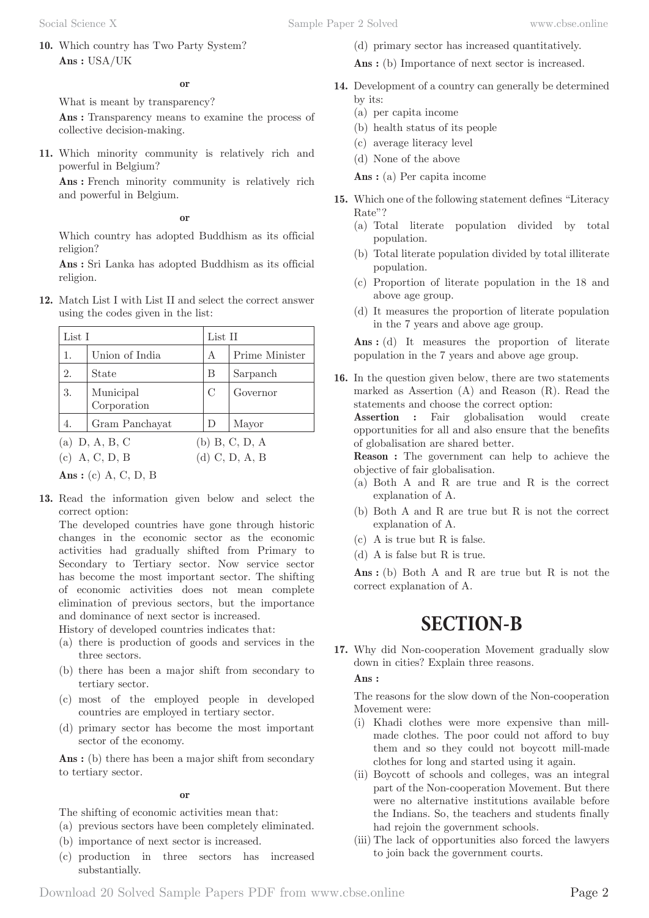**10.** Which country has Two Party System? **Ans :** USA/UK

What is meant by transparency?

Ans: Transparency means to examine the process of collective decision-making.

**11.** Which minority community is relatively rich and powerful in Belgium?

**Ans :** French minority community is relatively rich and powerful in Belgium.

**or**

Which country has adopted Buddhism as its official religion?

**Ans :** Sri Lanka has adopted Buddhism as its official religion.

**12.** Match List I with List II and select the correct answer using the codes given in the list:

| List I                               |                          |                                      | List II        |  |
|--------------------------------------|--------------------------|--------------------------------------|----------------|--|
| 1.                                   | Union of India           | А                                    | Prime Minister |  |
| 2.                                   | State                    | B                                    | Sarpanch       |  |
| 3.                                   | Municipal<br>Corporation | $\mathcal{C}$                        | Governor       |  |
| 4.                                   | Gram Panchayat           | D                                    | Mayor          |  |
| (a) $D, A, B, C$<br>$(c)$ A, C, D, B |                          | $(b)$ B, C, D, A<br>$(d)$ C, D, A, B |                |  |

**Ans :** (c) A, C, D, B

**13.** Read the information given below and select the correct option:

The developed countries have gone through historic changes in the economic sector as the economic activities had gradually shifted from Primary to Secondary to Tertiary sector. Now service sector has become the most important sector. The shifting of economic activities does not mean complete elimination of previous sectors, but the importance and dominance of next sector is increased.

History of developed countries indicates that:

- (a) there is production of goods and services in the three sectors.
- (b) there has been a major shift from secondary to tertiary sector.
- (c) most of the employed people in developed countries are employed in tertiary sector.
- (d) primary sector has become the most important sector of the economy.

Ans : (b) there has been a major shift from secondary to tertiary sector.

### **or**

The shifting of economic activities mean that:

- (a) previous sectors have been completely eliminated.
- (b) importance of next sector is increased.
- (c) production in three sectors has increased substantially.

Social Science X Sample Paper 2 Solved [www.cbse.online](http://www.cbse.online) 

(d) primary sector has increased quantitatively.

Ans : (b) Importance of next sector is increased.

- **14.** Development of a country can generally be determined by its:
	- (a) per capita income
	- (b) health status of its people
	- (c) average literacy level
	- (d) None of the above

**Ans :** (a) Per capita income

- **15.** Which one of the following statement defines "Literacy Rate"?
	- (a) Total literate population divided by total population.
	- (b) Total literate population divided by total illiterate population.
	- (c) Proportion of literate population in the 18 and above age group.
	- (d) It measures the proportion of literate population in the 7 years and above age group.

Ans: (d) It measures the proportion of literate population in the 7 years and above age group.

**16.** In the question given below, there are two statements marked as Assertion (A) and Reason (R). Read the statements and choose the correct option: **Assertion :** Fair globalisation would create opportunities for all and also ensure that the benefits of globalisation are shared better. **Reason :** The government can help to achieve the objective of fair globalisation.

- (a) Both A and R are true and R is the correct explanation of A.
- (b) Both A and R are true but R is not the correct explanation of A.
- (c) A is true but R is false.
- (d) A is false but R is true.

**Ans :** (b) Both A and R are true but R is not the correct explanation of A.

# **SECTION-B**

**17.** Why did Non-cooperation Movement gradually slow down in cities? Explain three reasons.

### **Ans :**

The reasons for the slow down of the Non-cooperation Movement were:

- (i) Khadi clothes were more expensive than millmade clothes. The poor could not afford to buy them and so they could not boycott mill-made clothes for long and started using it again.
- (ii) Boycott of schools and colleges, was an integral part of the Non-cooperation Movement. But there were no alternative institutions available before the Indians. So, the teachers and students finally had rejoin the government schools.
- (iii) The lack of opportunities also forced the lawyers to join back the government courts.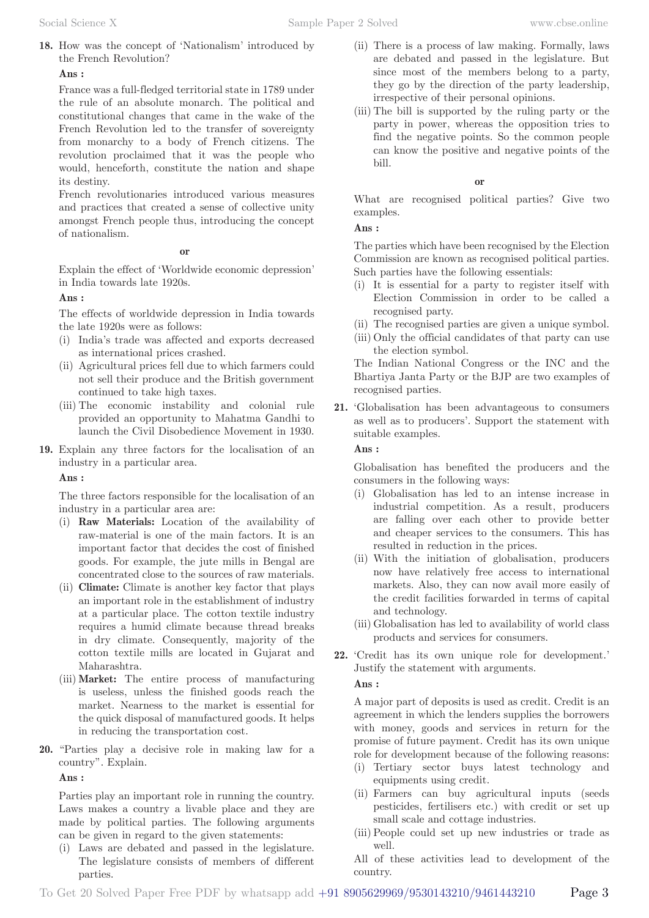**18.** How was the concept of 'Nationalism' introduced by the French Revolution?

**Ans :** 

France was a full-fledged territorial state in 1789 under the rule of an absolute monarch. The political and constitutional changes that came in the wake of the French Revolution led to the transfer of sovereignty from monarchy to a body of French citizens. The revolution proclaimed that it was the people who would, henceforth, constitute the nation and shape its destiny.

French revolutionaries introduced various measures and practices that created a sense of collective unity amongst French people thus, introducing the concept of nationalism.

### **or**

Explain the effect of 'Worldwide economic depression' in India towards late 1920s.

## **Ans :**

The effects of worldwide depression in India towards the late 1920s were as follows:

- (i) India's trade was affected and exports decreased as international prices crashed.
- (ii) Agricultural prices fell due to which farmers could not sell their produce and the British government continued to take high taxes.
- (iii) The economic instability and colonial rule provided an opportunity to Mahatma Gandhi to launch the Civil Disobedience Movement in 1930.
- **19.** Explain any three factors for the localisation of an industry in a particular area.

**Ans :** 

The three factors responsible for the localisation of an industry in a particular area are:

- (i) **Raw Materials:** Location of the availability of raw-material is one of the main factors. It is an important factor that decides the cost of finished goods. For example, the jute mills in Bengal are concentrated close to the sources of raw materials.
- (ii) **Climate:** Climate is another key factor that plays an important role in the establishment of industry at a particular place. The cotton textile industry requires a humid climate because thread breaks in dry climate. Consequently, majority of the cotton textile mills are located in Gujarat and Maharashtra.
- (iii) **Market:** The entire process of manufacturing is useless, unless the finished goods reach the market. Nearness to the market is essential for the quick disposal of manufactured goods. It helps in reducing the transportation cost.
- **20.** "Parties play a decisive role in making law for a country". Explain.

**Ans :** 

Parties play an important role in running the country. Laws makes a country a livable place and they are made by political parties. The following arguments can be given in regard to the given statements:

(i) Laws are debated and passed in the legislature. The legislature consists of members of different parties.

- (ii) There is a process of law making. Formally, laws are debated and passed in the legislature. But since most of the members belong to a party, they go by the direction of the party leadership, irrespective of their personal opinions.
- (iii) The bill is supported by the ruling party or the party in power, whereas the opposition tries to find the negative points. So the common people can know the positive and negative points of the bill.

**or**

What are recognised political parties? Give two examples.

### **Ans :**

The parties which have been recognised by the Election Commission are known as recognised political parties. Such parties have the following essentials:

- (i) It is essential for a party to register itself with Election Commission in order to be called a recognised party.
- (ii) The recognised parties are given a unique symbol.
- (iii) Only the official candidates of that party can use the election symbol.

The Indian National Congress or the INC and the Bhartiya Janta Party or the BJP are two examples of recognised parties.

**21.** 'Globalisation has been advantageous to consumers as well as to producers'. Support the statement with suitable examples.

### **Ans :**

Globalisation has benefited the producers and the consumers in the following ways:

- (i) Globalisation has led to an intense increase in industrial competition. As a result, producers are falling over each other to provide better and cheaper services to the consumers. This has resulted in reduction in the prices.
- (ii) With the initiation of globalisation, producers now have relatively free access to international markets. Also, they can now avail more easily of the credit facilities forwarded in terms of capital and technology.
- (iii) Globalisation has led to availability of world class products and services for consumers.
- **22.** 'Credit has its own unique role for development.' Justify the statement with arguments.

## **Ans :**

A major part of deposits is used as credit. Credit is an agreement in which the lenders supplies the borrowers with money, goods and services in return for the promise of future payment. Credit has its own unique role for development because of the following reasons:

- (i) Tertiary sector buys latest technology and equipments using credit.
- (ii) Farmers can buy agricultural inputs (seeds pesticides, fertilisers etc.) with credit or set up small scale and cottage industries.
- (iii) People could set up new industries or trade as well.
- All of these activities lead to development of the country.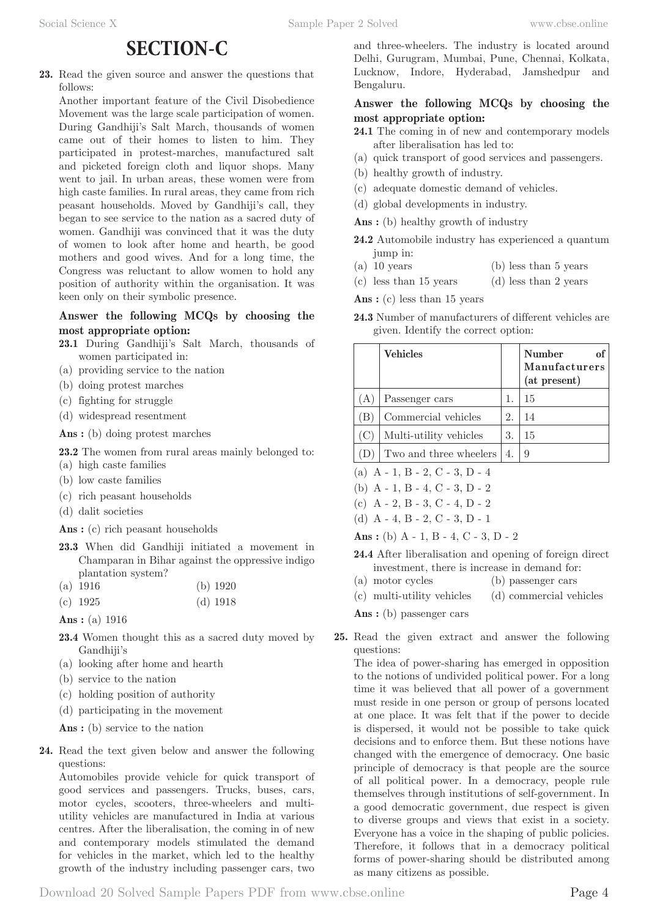# **SECTION-C**

**23.** Read the given source and answer the questions that follows:

Another important feature of the Civil Disobedience Movement was the large scale participation of women. During Gandhiji's Salt March, thousands of women came out of their homes to listen to him. They participated in protest-marches, manufactured salt and picketed foreign cloth and liquor shops. Many went to jail. In urban areas, these women were from high caste families. In rural areas, they came from rich peasant households. Moved by Gandhiji's call, they began to see service to the nation as a sacred duty of women. Gandhiji was convinced that it was the duty of women to look after home and hearth, be good mothers and good wives. And for a long time, the Congress was reluctant to allow women to hold any position of authority within the organisation. It was keen only on their symbolic presence.

# **Answer the following MCQs by choosing the most appropriate option:**

- **23.1** During Gandhiji's Salt March, thousands of women participated in:
- (a) providing service to the nation
- (b) doing protest marches
- (c) fighting for struggle
- (d) widespread resentment

**Ans :** (b) doing protest marches

**23.2** The women from rural areas mainly belonged to:

- (a) high caste families
- (b) low caste families
- (c) rich peasant households
- (d) dalit societies

Ans : (c) rich peasant households

- **23.3** When did Gandhiji initiated a movement in Champaran in Bihar against the oppressive indigo plantation system?
- (a) 1916 (b) 1920
- (c) 1925 (d) 1918
- **Ans :** (a) 1916
- **23.4** Women thought this as a sacred duty moved by Gandhiji's
- (a) looking after home and hearth
- (b) service to the nation
- (c) holding position of authority
- (d) participating in the movement

Ans : (b) service to the nation

**24.** Read the text given below and answer the following questions:

Automobiles provide vehicle for quick transport of good services and passengers. Trucks, buses, cars, motor cycles, scooters, three-wheelers and multiutility vehicles are manufactured in India at various centres. After the liberalisation, the coming in of new and contemporary models stimulated the demand for vehicles in the market, which led to the healthy growth of the industry including passenger cars, two

and three-wheelers. The industry is located around Delhi, Gurugram, Mumbai, Pune, Chennai, Kolkata, Lucknow, Indore, Hyderabad, Jamshedpur and Bengaluru.

## **Answer the following MCQs by choosing the most appropriate option:**

- **24.1** The coming in of new and contemporary models after liberalisation has led to:
- (a) quick transport of good services and passengers.
- (b) healthy growth of industry.
- (c) adequate domestic demand of vehicles.
- (d) global developments in industry.
- Ans : (b) healthy growth of industry
- **24.2** Automobile industry has experienced a quantum jump in:
- (a) 10 years (b) less than 5 years
- (c) less than 15 years (d) less than 2 years

Ans: (c) less than 15 years

**24.3** Number of manufacturers of different vehicles are given. Identify the correct option:

|     | <b>Vehicles</b>                           |    | of<br>Number<br><b>Manufacturers</b><br>(at present) |
|-----|-------------------------------------------|----|------------------------------------------------------|
| (A) | Passenger cars                            | 1. | 15                                                   |
| ΈB) | Commercial vehicles                       | 2. | 14                                                   |
| (C) | Multi-utility vehicles                    | 3. | 15                                                   |
|     | Two and three wheelers                    | 4. | 9                                                    |
|     | (a) $A - 1$ , $B - 2$ , $C - 3$ , $D - 4$ |    |                                                      |

- (b) A 1, B 4, C 3, D 2
- (c) A 2, B 3, C 4, D 2

(d) 
$$
A - 4
$$
,  $B - 2$ ,  $C - 3$ ,  $D - 1$ 

**Ans :** (b) A - 1, B - 4, C - 3, D - 2

- **24.4** After liberalisation and opening of foreign direct investment, there is increase in demand for:
- (a) motor cycles (b) passenger cars
- (c) multi-utility vehicles (d) commercial vehicles

Ans : (b) passenger cars

**25.** Read the given extract and answer the following questions:

The idea of power-sharing has emerged in opposition to the notions of undivided political power. For a long time it was believed that all power of a government must reside in one person or group of persons located at one place. It was felt that if the power to decide is dispersed, it would not be possible to take quick decisions and to enforce them. But these notions have changed with the emergence of democracy. One basic principle of democracy is that people are the source of all political power. In a democracy, people rule themselves through institutions of self-government. In a good democratic government, due respect is given to diverse groups and views that exist in a society. Everyone has a voice in the shaping of public policies. Therefore, it follows that in a democracy political forms of power-sharing should be distributed among as many citizens as possible.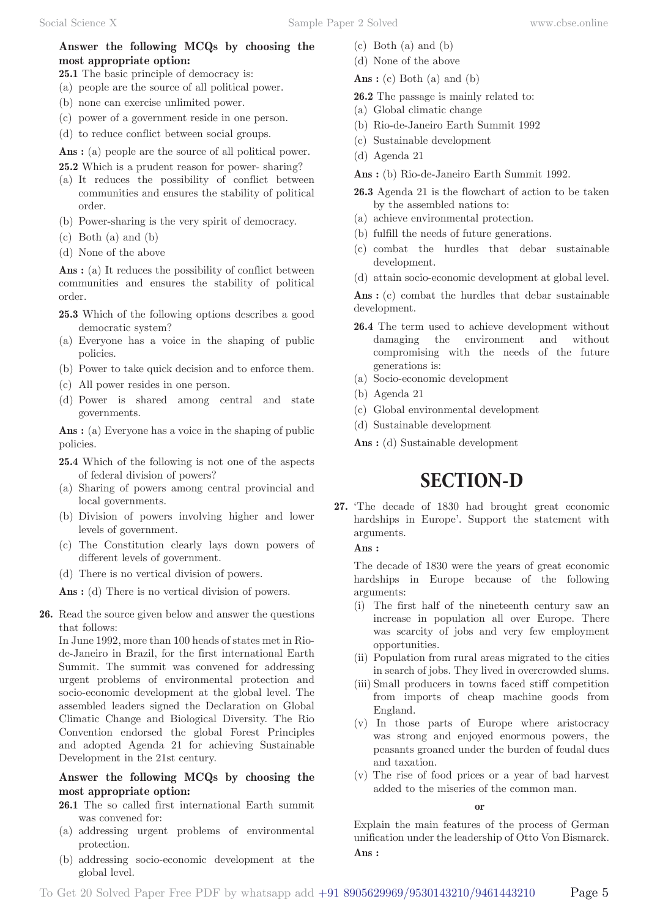# **Answer the following MCQs by choosing the most appropriate option:**

- **25.1** The basic principle of democracy is:
- (a) people are the source of all political power.
- (b) none can exercise unlimited power.
- (c) power of a government reside in one person.
- (d) to reduce conflict between social groups.

Ans : (a) people are the source of all political power.

- **25.2** Which is a prudent reason for power- sharing?
- (a) It reduces the possibility of conflict between communities and ensures the stability of political order.
- (b) Power-sharing is the very spirit of democracy.
- (c) Both (a) and (b)
- (d) None of the above

Ans : (a) It reduces the possibility of conflict between communities and ensures the stability of political order.

- **25.3** Which of the following options describes a good democratic system?
- (a) Everyone has a voice in the shaping of public policies.
- (b) Power to take quick decision and to enforce them.
- (c) All power resides in one person.
- (d) Power is shared among central and state governments.

Ans : (a) Everyone has a voice in the shaping of public policies.

**25.4** Which of the following is not one of the aspects of federal division of powers?

- (a) Sharing of powers among central provincial and local governments.
- (b) Division of powers involving higher and lower levels of government.
- (c) The Constitution clearly lays down powers of different levels of government.
- (d) There is no vertical division of powers.

Ans : (d) There is no vertical division of powers.

**26.** Read the source given below and answer the questions that follows:

In June 1992, more than 100 heads of states met in Riode-Janeiro in Brazil, for the first international Earth Summit. The summit was convened for addressing urgent problems of environmental protection and socio-economic development at the global level. The assembled leaders signed the Declaration on Global Climatic Change and Biological Diversity. The Rio Convention endorsed the global Forest Principles and adopted Agenda 21 for achieving Sustainable Development in the 21st century.

## **Answer the following MCQs by choosing the most appropriate option:**

- **26.1** The so called first international Earth summit was convened for:
- (a) addressing urgent problems of environmental protection.
- (b) addressing socio-economic development at the global level.
- (c) Both (a) and (b)
- (d) None of the above
- **Ans :** (c) Both (a) and (b)
- **26.2** The passage is mainly related to:
- (a) Global climatic change
- (b) Rio-de-Janeiro Earth Summit 1992
- (c) Sustainable development
- (d) Agenda 21
- **Ans :** (b) Rio-de-Janeiro Earth Summit 1992.
- **26.3** Agenda 21 is the flowchart of action to be taken by the assembled nations to:
- (a) achieve environmental protection.
- (b) fulfill the needs of future generations.
- (c) combat the hurdles that debar sustainable development.
- (d) attain socio-economic development at global level.

Ans : (c) combat the hurdles that debar sustainable development.

- **26.4** The term used to achieve development without damaging the environment and without compromising with the needs of the future generations is:
- (a) Socio-economic development
- (b) Agenda 21
- (c) Global environmental development
- (d) Sustainable development

**Ans :** (d) Sustainable development

# **SECTION-D**

**27.** 'The decade of 1830 had brought great economic hardships in Europe'. Support the statement with arguments.

**Ans :** 

The decade of 1830 were the years of great economic hardships in Europe because of the following arguments:

- (i) The first half of the nineteenth century saw an increase in population all over Europe. There was scarcity of jobs and very few employment opportunities.
- (ii) Population from rural areas migrated to the cities in search of jobs. They lived in overcrowded slums.
- (iii) Small producers in towns faced stiff competition from imports of cheap machine goods from England.
- (v) In those parts of Europe where aristocracy was strong and enjoyed enormous powers, the peasants groaned under the burden of feudal dues and taxation.
- (v) The rise of food prices or a year of bad harvest added to the miseries of the common man.

**or**

Explain the main features of the process of German unification under the leadership of Otto Von Bismarck. **Ans :**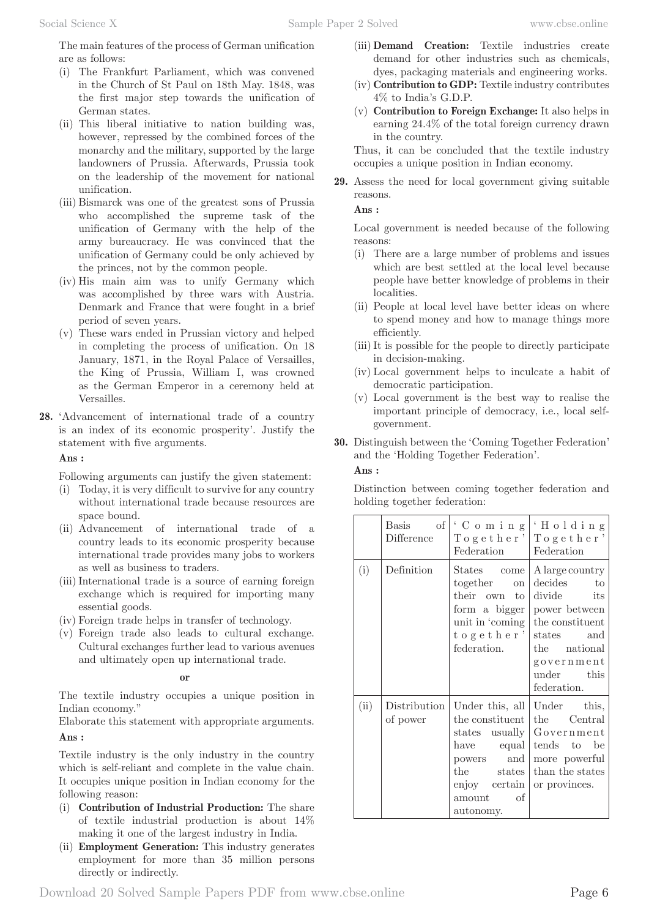The main features of the process of German unification are as follows:

- (i) The Frankfurt Parliament, which was convened in the Church of St Paul on 18th May. 1848, was the first major step towards the unification of German states.
- (ii) This liberal initiative to nation building was, however, repressed by the combined forces of the monarchy and the military, supported by the large landowners of Prussia. Afterwards, Prussia took on the leadership of the movement for national unification.
- (iii) Bismarck was one of the greatest sons of Prussia who accomplished the supreme task of the unification of Germany with the help of the army bureaucracy. He was convinced that the unification of Germany could be only achieved by the princes, not by the common people.
- (iv) His main aim was to unify Germany which was accomplished by three wars with Austria. Denmark and France that were fought in a brief period of seven years.
- (v) These wars ended in Prussian victory and helped in completing the process of unification. On 18 January, 1871, in the Royal Palace of Versailles, the King of Prussia, William I, was crowned as the German Emperor in a ceremony held at Versailles.
- **28.** 'Advancement of international trade of a country is an index of its economic prosperity'. Justify the statement with five arguments.

## **Ans :**

Following arguments can justify the given statement:

- (i) Today, it is very difficult to survive for any country without international trade because resources are space bound.
- (ii) Advancement of international trade of a country leads to its economic prosperity because international trade provides many jobs to workers as well as business to traders.
- (iii) International trade is a source of earning foreign exchange which is required for importing many essential goods.
- (iv) Foreign trade helps in transfer of technology.
- (v) Foreign trade also leads to cultural exchange. Cultural exchanges further lead to various avenues and ultimately open up international trade.

### **or**

The textile industry occupies a unique position in Indian economy."

Elaborate this statement with appropriate arguments. **Ans :** 

Textile industry is the only industry in the country which is self-reliant and complete in the value chain. It occupies unique position in Indian economy for the following reason:

- (i) **Contribution of Industrial Production:** The share of textile industrial production is about 14% making it one of the largest industry in India.
- (ii) **Employment Generation:** This industry generates employment for more than 35 million persons directly or indirectly.
- (iii) **Demand Creation:** Textile industries create demand for other industries such as chemicals, dyes, packaging materials and engineering works.
- (iv) **Contribution to GDP:** Textile industry contributes 4% to India's G.D.P.
- (v) **Contribution to Foreign Exchange:** It also helps in earning 24.4% of the total foreign currency drawn in the country.

Thus, it can be concluded that the textile industry occupies a unique position in Indian economy.

**29.** Assess the need for local government giving suitable reasons.

### **Ans :**

Local government is needed because of the following reasons:

- (i) There are a large number of problems and issues which are best settled at the local level because people have better knowledge of problems in their localities.
- (ii) People at local level have better ideas on where to spend money and how to manage things more efficiently.
- (iii) It is possible for the people to directly participate in decision-making.
- (iv) Local government helps to inculcate a habit of democratic participation.
- (v) Local government is the best way to realise the important principle of democracy, i.e., local selfgovernment.
- **30.** Distinguish between the 'Coming Together Federation' and the 'Holding Together Federation'.

## **Ans :**

Distinction between coming together federation and holding together federation:

|      | $\vert$ of $\vert$<br>Basis<br>Difference | 'Coming<br>Together'<br>Federation                                                                                                                      | 'Holding<br>Together'<br>Federation                                                                                                                                        |
|------|-------------------------------------------|---------------------------------------------------------------------------------------------------------------------------------------------------------|----------------------------------------------------------------------------------------------------------------------------------------------------------------------------|
| (i)  | Definition                                | States come<br>together<br><b>on</b><br>their own to<br>form a bigger<br>together'<br>federation.                                                       | A large country<br>decides to<br>divide its<br>power between<br>unit in 'coming   the constituent<br>states and<br>the national<br>government<br>under this<br>federation. |
| (ii) | Distribution<br>of power                  | Under this, all<br>the constituent<br>states usually<br>have<br>equal  <br>and<br>powers<br>the<br>states<br>enjoy certain<br>of<br>amount<br>autonomy. | Under this,<br>the<br>Central<br>Government<br>tends to be<br>more powerful<br>than the states<br>or provinces.                                                            |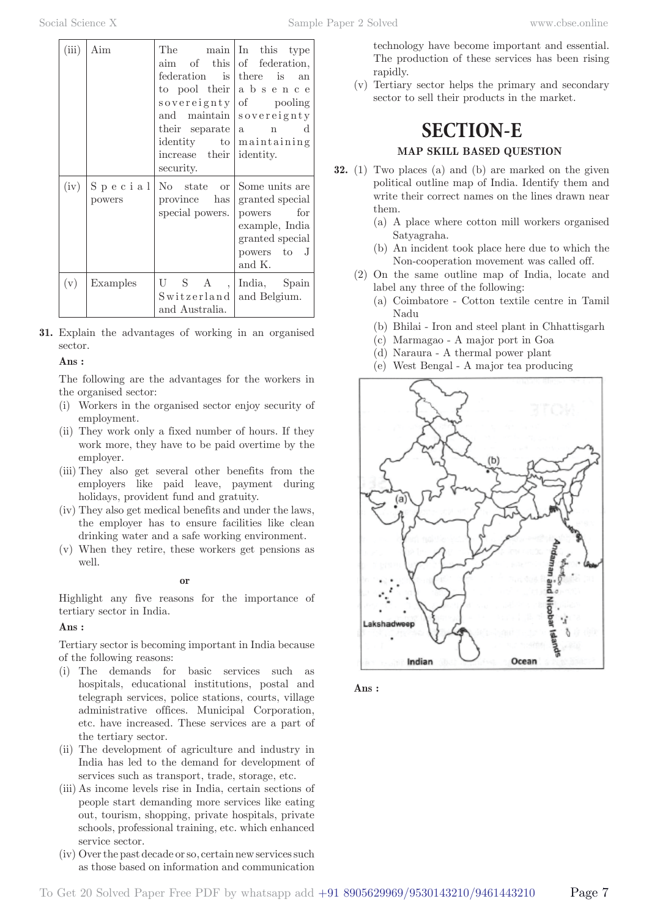| (iii) | Aim               | The<br>$\lim$<br>federation is<br>their separate<br>identity to<br>increase their<br>security. | main In this type<br>of this of federation,<br>there is<br>an<br>to pool their a b s e n c e<br>sovereignty of pooling<br>and maintain sovereignty<br>$n \cdot d$<br> a <br>maintaining<br>identity. |
|-------|-------------------|------------------------------------------------------------------------------------------------|------------------------------------------------------------------------------------------------------------------------------------------------------------------------------------------------------|
| (iv)  | Special<br>powers | No state or<br>province has<br>special powers.                                                 | Some units are<br>granted special<br>for<br>powers<br>example, India<br>granted special<br>powers to J<br>and K.                                                                                     |
| (v)   | Examples          | U S A<br>$\sim$ 100 $\mu$<br>Switzerland<br>and Australia.                                     | India, Spain<br>and Belgium.                                                                                                                                                                         |

**31.** Explain the advantages of working in an organised sector.

### **Ans :**

The following are the advantages for the workers in the organised sector:

- (i) Workers in the organised sector enjoy security of employment.
- (ii) They work only a fixed number of hours. If they work more, they have to be paid overtime by the employer.
- (iii) They also get several other benefits from the employers like paid leave, payment during holidays, provident fund and gratuity.
- (iv) They also get medical benefits and under the laws, the employer has to ensure facilities like clean drinking water and a safe working environment.
- (v) When they retire, these workers get pensions as well.

### **or**

Highlight any five reasons for the importance of tertiary sector in India.

### **Ans :**

Tertiary sector is becoming important in India because of the following reasons:

- (i) The demands for basic services such as hospitals, educational institutions, postal and telegraph services, police stations, courts, village administrative offices. Municipal Corporation, etc. have increased. These services are a part of the tertiary sector.
- (ii) The development of agriculture and industry in India has led to the demand for development of services such as transport, trade, storage, etc.
- (iii) As income levels rise in India, certain sections of people start demanding more services like eating out, tourism, shopping, private hospitals, private schools, professional training, etc. which enhanced service sector.
- (iv) Over the past decade or so, certain new services such as those based on information and communication

technology have become important and essential. The production of these services has been rising rapidly.

(v) Tertiary sector helps the primary and secondary sector to sell their products in the market.

# **SECTION-E**

# **MAP SKILL BASED QUESTION**

- **32.** (1) Two places (a) and (b) are marked on the given political outline map of India. Identify them and write their correct names on the lines drawn near them.
	- (a) A place where cotton mill workers organised Satyagraha.
	- (b) An incident took place here due to which the Non-cooperation movement was called off.
	- (2) On the same outline map of India, locate and label any three of the following:
		- (a) Coimbatore Cotton textile centre in Tamil Nadu
		- (b) Bhilai Iron and steel plant in Chhattisgarh
		- (c) Marmagao A major port in Goa
		- (d) Naraura A thermal power plant
		- (e) West Bengal A major tea producing